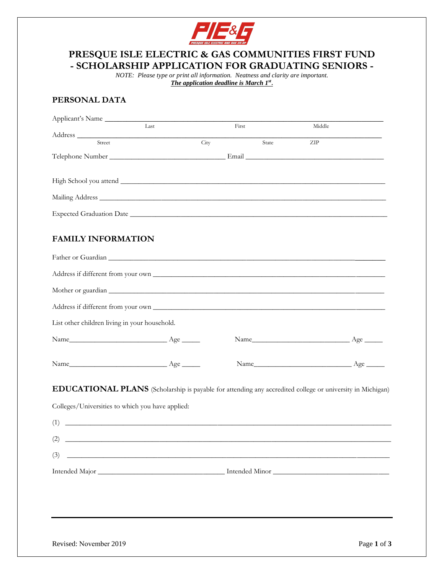

# **- SCHOLARSHIP APPLICATION FOR GRADUATING SENIORS - PRESQUE ISLE ELECTRIC & GAS COMMUNITIES FIRST FUND**

 *NOTE: Please type or print all information. Neatness and clarity are important. The application deadline is March 1st* **.** 

## **PERSONAL DATA**

| Applicant's Name                                                                                                                                                                                                               |      |       |       |        |  |
|--------------------------------------------------------------------------------------------------------------------------------------------------------------------------------------------------------------------------------|------|-------|-------|--------|--|
|                                                                                                                                                                                                                                | Last | First |       | Middle |  |
| Street                                                                                                                                                                                                                         |      | City  | State | ZIP    |  |
|                                                                                                                                                                                                                                |      |       |       |        |  |
|                                                                                                                                                                                                                                |      |       |       |        |  |
|                                                                                                                                                                                                                                |      |       |       |        |  |
|                                                                                                                                                                                                                                |      |       |       |        |  |
| Expected Graduation Date League and Contract Contract of the Contract of the Contract of the Contract of the Contract of the Contract of the Contract of the Contract of the Contract of the Contract of the Contract of the C |      |       |       |        |  |
|                                                                                                                                                                                                                                |      |       |       |        |  |
| <b>FAMILY INFORMATION</b>                                                                                                                                                                                                      |      |       |       |        |  |
|                                                                                                                                                                                                                                |      |       |       |        |  |
| Address if different from your own                                                                                                                                                                                             |      |       |       |        |  |
|                                                                                                                                                                                                                                |      |       |       |        |  |
|                                                                                                                                                                                                                                |      |       |       |        |  |
|                                                                                                                                                                                                                                |      |       |       |        |  |
| List other children living in your household.                                                                                                                                                                                  |      |       |       |        |  |
|                                                                                                                                                                                                                                |      |       |       |        |  |
|                                                                                                                                                                                                                                |      |       |       |        |  |
| <b>EDUCATIONAL PLANS</b> (Scholarship is payable for attending any accredited college or university in Michigan)                                                                                                               |      |       |       |        |  |
| Colleges/Universities to which you have applied:                                                                                                                                                                               |      |       |       |        |  |
| (1)                                                                                                                                                                                                                            |      |       |       |        |  |
|                                                                                                                                                                                                                                |      |       |       |        |  |
| (2)<br><u> Alexandria de la contrada de la contrada de la contrada de la contrada de la contrada de la contrada de la c</u>                                                                                                    |      |       |       |        |  |
| (3)<br><u> 1999 - Johann John Stone, mension berkenaar di sebagai personal di sebagai personal di sebagai personal di se</u>                                                                                                   |      |       |       |        |  |
|                                                                                                                                                                                                                                |      |       |       |        |  |
|                                                                                                                                                                                                                                |      |       |       |        |  |
|                                                                                                                                                                                                                                |      |       |       |        |  |
|                                                                                                                                                                                                                                |      |       |       |        |  |
|                                                                                                                                                                                                                                |      |       |       |        |  |
|                                                                                                                                                                                                                                |      |       |       |        |  |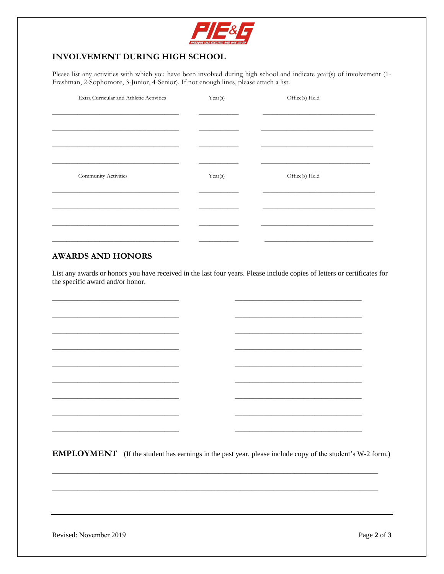

### **INVOLVEMENT DURING HIGH SCHOOL**

Please list any activities with which you have been involved during high school and indicate year(s) of involvement (1-Freshman, 2-Sophomore, 3-Junior, 4-Senior). If not enough lines, please attach a list.

| Extra Curricular and Athletic Activities | Year(s) | Office(s) Held |
|------------------------------------------|---------|----------------|
|                                          |         |                |
|                                          |         |                |
|                                          |         |                |
|                                          |         |                |
|                                          |         |                |
| Community Activities                     | Year(s) | Office(s) Held |
|                                          |         |                |
|                                          |         |                |
|                                          |         |                |
|                                          |         |                |
|                                          |         |                |

#### **AWARDS AND HONORS**

List any awards or honors you have received in the last four years. Please include copies of letters or certificates for the specific award and/or honor.

**EMPLOYMENT** (If the student has earnings in the past year, please include copy of the student's W-2 form.)